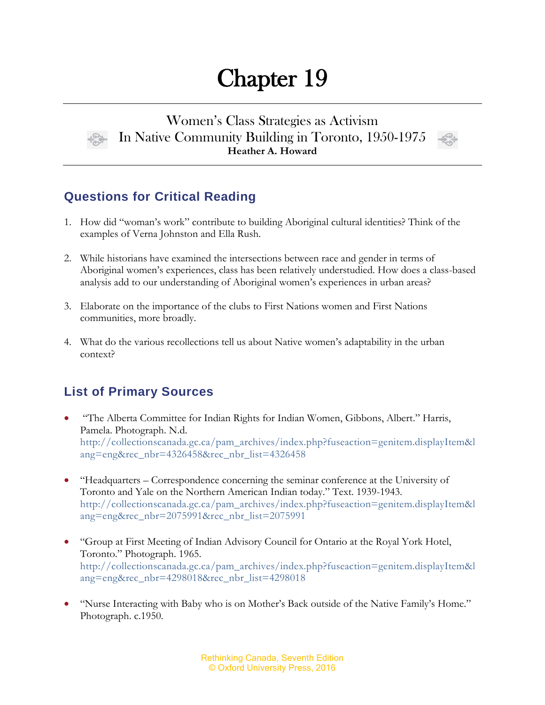# Chapter 19

#### Women's Class Strategies as Activism In Native Community Building in Toronto, 1950-1975 **Heather A. Howard**



### **Questions for Critical Reading**

- 1. How did "woman's work" contribute to building Aboriginal cultural identities? Think of the examples of Verna Johnston and Ella Rush.
- 2. While historians have examined the intersections between race and gender in terms of Aboriginal women's experiences, class has been relatively understudied. How does a class-based analysis add to our understanding of Aboriginal women's experiences in urban areas?
- 3. Elaborate on the importance of the clubs to First Nations women and First Nations communities, more broadly.
- 4. What do the various recollections tell us about Native women's adaptability in the urban context?

## **List of Primary Sources**

- "The Alberta Committee for Indian Rights for Indian Women, Gibbons, Albert." Harris, Pamela. Photograph. N.d. [http://collectionscanada.gc.ca/pam\\_archives/index.php?fuseaction=genitem.displayItem&l](http://collectionscanada.gc.ca/pam_archives/index.php?fuseaction=genitem.displayItem&lang=eng&rec_nbr=4326458&rec_nbr_list=4326458) [ang=eng&rec\\_nbr=4326458&rec\\_nbr\\_list=4326458](http://collectionscanada.gc.ca/pam_archives/index.php?fuseaction=genitem.displayItem&lang=eng&rec_nbr=4326458&rec_nbr_list=4326458)
- "Headquarters Correspondence concerning the seminar conference at the University of Toronto and Yale on the Northern American Indian today." Text. 1939-1943. [http://collectionscanada.gc.ca/pam\\_archives/index.php?fuseaction=genitem.displayItem&l](http://collectionscanada.gc.ca/pam_archives/index.php?fuseaction=genitem.displayItem&lang=eng&rec_nbr=2075991&rec_nbr_list=2075991) [ang=eng&rec\\_nbr=2075991&rec\\_nbr\\_list=2075991](http://collectionscanada.gc.ca/pam_archives/index.php?fuseaction=genitem.displayItem&lang=eng&rec_nbr=2075991&rec_nbr_list=2075991)
- "Group at First Meeting of Indian Advisory Council for Ontario at the Royal York Hotel, Toronto." Photograph. 1965. [http://collectionscanada.gc.ca/pam\\_archives/index.php?fuseaction=genitem.displayItem&l](http://collectionscanada.gc.ca/pam_archives/index.php?fuseaction=genitem.displayItem&lang=eng&rec_nbr=4298018&rec_nbr_list=4298018) [ang=eng&rec\\_nbr=4298018&rec\\_nbr\\_list=4298018](http://collectionscanada.gc.ca/pam_archives/index.php?fuseaction=genitem.displayItem&lang=eng&rec_nbr=4298018&rec_nbr_list=4298018)
- "Nurse Interacting with Baby who is on Mother's Back outside of the Native Family's Home." Photograph. c.1950.

Rethinking Canada, Seventh Edition © Oxford University Press, 2016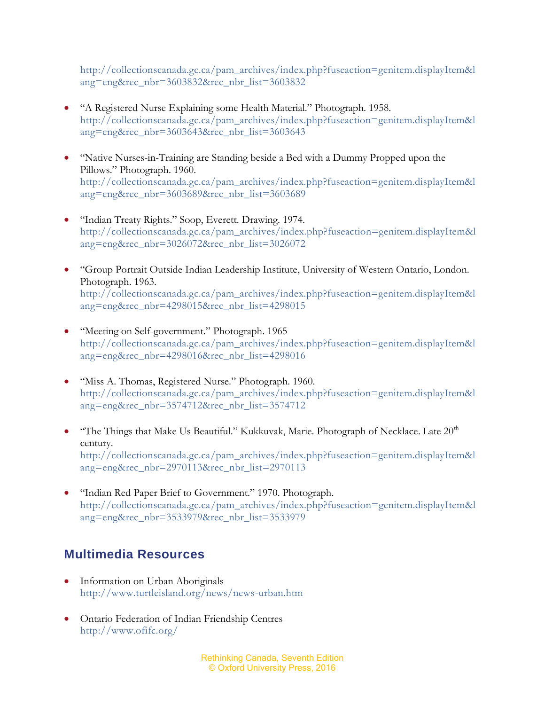[http://collectionscanada.gc.ca/pam\\_archives/index.php?fuseaction=genitem.displayItem&l](http://collectionscanada.gc.ca/pam_archives/index.php?fuseaction=genitem.displayItem&lang=eng&rec_nbr=3603832&rec_nbr_list=3603832) [ang=eng&rec\\_nbr=3603832&rec\\_nbr\\_list=3603832](http://collectionscanada.gc.ca/pam_archives/index.php?fuseaction=genitem.displayItem&lang=eng&rec_nbr=3603832&rec_nbr_list=3603832)

- "A Registered Nurse Explaining some Health Material." Photograph. 1958. [http://collectionscanada.gc.ca/pam\\_archives/index.php?fuseaction=genitem.displayItem&l](http://collectionscanada.gc.ca/pam_archives/index.php?fuseaction=genitem.displayItem&lang=eng&rec_nbr=3603643&rec_nbr_list=3603643) [ang=eng&rec\\_nbr=3603643&rec\\_nbr\\_list=3603643](http://collectionscanada.gc.ca/pam_archives/index.php?fuseaction=genitem.displayItem&lang=eng&rec_nbr=3603643&rec_nbr_list=3603643)
- "Native Nurses-in-Training are Standing beside a Bed with a Dummy Propped upon the Pillows." Photograph. 1960. [http://collectionscanada.gc.ca/pam\\_archives/index.php?fuseaction=genitem.displayItem&l](http://collectionscanada.gc.ca/pam_archives/index.php?fuseaction=genitem.displayItem&lang=eng&rec_nbr=3603689&rec_nbr_list=3603689) [ang=eng&rec\\_nbr=3603689&rec\\_nbr\\_list=3603689](http://collectionscanada.gc.ca/pam_archives/index.php?fuseaction=genitem.displayItem&lang=eng&rec_nbr=3603689&rec_nbr_list=3603689)
- "Indian Treaty Rights." Soop, Everett. Drawing. 1974. [http://collectionscanada.gc.ca/pam\\_archives/index.php?fuseaction=genitem.displayItem&l](http://collectionscanada.gc.ca/pam_archives/index.php?fuseaction=genitem.displayItem&lang=eng&rec_nbr=3026072&rec_nbr_list=3026072) [ang=eng&rec\\_nbr=3026072&rec\\_nbr\\_list=3026072](http://collectionscanada.gc.ca/pam_archives/index.php?fuseaction=genitem.displayItem&lang=eng&rec_nbr=3026072&rec_nbr_list=3026072)
- "Group Portrait Outside Indian Leadership Institute, University of Western Ontario, London. Photograph. 1963. [http://collectionscanada.gc.ca/pam\\_archives/index.php?fuseaction=genitem.displayItem&l](http://collectionscanada.gc.ca/pam_archives/index.php?fuseaction=genitem.displayItem&lang=eng&rec_nbr=4298015&rec_nbr_list=4298015) [ang=eng&rec\\_nbr=4298015&rec\\_nbr\\_list=4298015](http://collectionscanada.gc.ca/pam_archives/index.php?fuseaction=genitem.displayItem&lang=eng&rec_nbr=4298015&rec_nbr_list=4298015)
- "Meeting on Self-government." Photograph. 1965 [http://collectionscanada.gc.ca/pam\\_archives/index.php?fuseaction=genitem.displayItem&l](http://collectionscanada.gc.ca/pam_archives/index.php?fuseaction=genitem.displayItem&lang=eng&rec_nbr=4298016&rec_nbr_list=4298016) [ang=eng&rec\\_nbr=4298016&rec\\_nbr\\_list=4298016](http://collectionscanada.gc.ca/pam_archives/index.php?fuseaction=genitem.displayItem&lang=eng&rec_nbr=4298016&rec_nbr_list=4298016)
- "Miss A. Thomas, Registered Nurse." Photograph. 1960. [http://collectionscanada.gc.ca/pam\\_archives/index.php?fuseaction=genitem.displayItem&l](http://collectionscanada.gc.ca/pam_archives/index.php?fuseaction=genitem.displayItem&lang=eng&rec_nbr=3574712&rec_nbr_list=3574712) [ang=eng&rec\\_nbr=3574712&rec\\_nbr\\_list=3574712](http://collectionscanada.gc.ca/pam_archives/index.php?fuseaction=genitem.displayItem&lang=eng&rec_nbr=3574712&rec_nbr_list=3574712)
- "The Things that Make Us Beautiful." Kukkuvak, Marie. Photograph of Necklace. Late 20<sup>th</sup> century. [http://collectionscanada.gc.ca/pam\\_archives/index.php?fuseaction=genitem.displayItem&l](http://collectionscanada.gc.ca/pam_archives/index.php?fuseaction=genitem.displayItem&lang=eng&rec_nbr=2970113&rec_nbr_list=2970113) [ang=eng&rec\\_nbr=2970113&rec\\_nbr\\_list=2970113](http://collectionscanada.gc.ca/pam_archives/index.php?fuseaction=genitem.displayItem&lang=eng&rec_nbr=2970113&rec_nbr_list=2970113)
- "Indian Red Paper Brief to Government." 1970. Photograph. [http://collectionscanada.gc.ca/pam\\_archives/index.php?fuseaction=genitem.displayItem&l](http://collectionscanada.gc.ca/pam_archives/index.php?fuseaction=genitem.displayItem&lang=eng&rec_nbr=3533979&rec_nbr_list=3533979) [ang=eng&rec\\_nbr=3533979&rec\\_nbr\\_list=3533979](http://collectionscanada.gc.ca/pam_archives/index.php?fuseaction=genitem.displayItem&lang=eng&rec_nbr=3533979&rec_nbr_list=3533979)

#### **Multimedia Resources**

- Information on Urban Aboriginals <http://www.turtleisland.org/news/news-urban.htm>
- Ontario Federation of Indian Friendship Centres <http://www.ofifc.org/>

Rethinking Canada, Seventh Edition © Oxford University Press, 2016